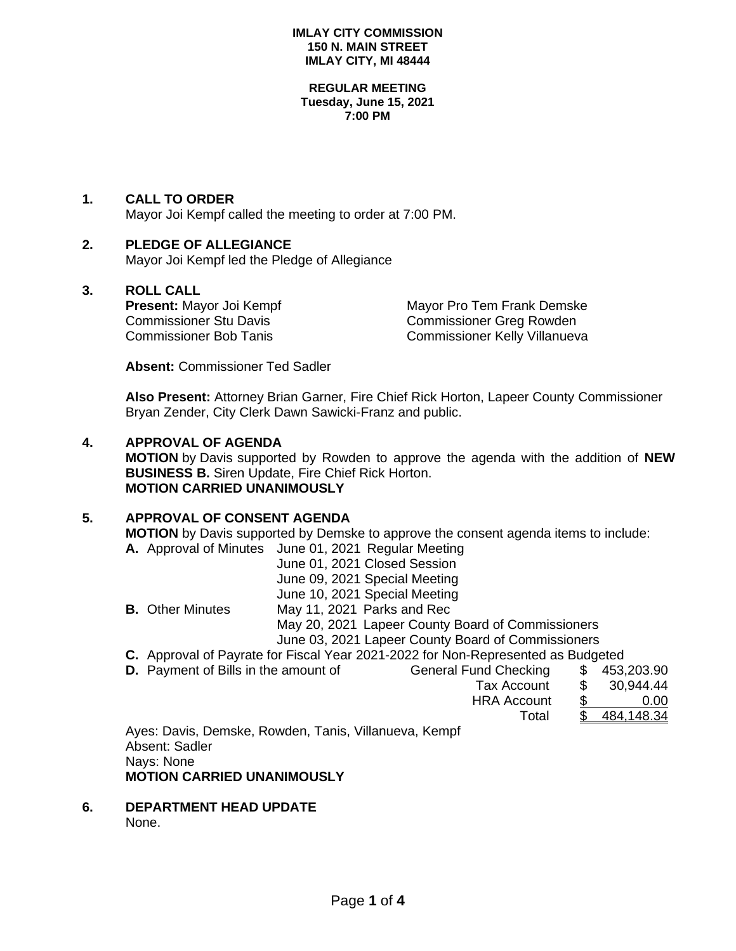#### **IMLAY CITY COMMISSION 150 N. MAIN STREET IMLAY CITY, MI 48444**

#### **REGULAR MEETING Tuesday, June 15, 2021 7:00 PM**

## **1. CALL TO ORDER**

Mayor Joi Kempf called the meeting to order at 7:00 PM.

# **2. PLEDGE OF ALLEGIANCE**

Mayor Joi Kempf led the Pledge of Allegiance

# **3. ROLL CALL**

**Present:** Mayor Joi Kempf Mayor Pro Tem Frank Demske Commissioner Stu Davis<br>
Commissioner Bob Tanis<br>
Commissioner Kelly Villanuev Commissioner Kelly Villanueva

**Absent:** Commissioner Ted Sadler

**Also Present:** Attorney Brian Garner, Fire Chief Rick Horton, Lapeer County Commissioner Bryan Zender, City Clerk Dawn Sawicki-Franz and public.

### **4. APPROVAL OF AGENDA**

**MOTION** by Davis supported by Rowden to approve the agenda with the addition of **NEW BUSINESS B.** Siren Update, Fire Chief Rick Horton. **MOTION CARRIED UNANIMOUSLY**

#### **5. APPROVAL OF CONSENT AGENDA**

**MOTION** by Davis supported by Demske to approve the consent agenda items to include: **A.** Approval of Minutes June 01, 2021 Regular Meeting

|                         | June 01, 2021 Closed Session                                                     |
|-------------------------|----------------------------------------------------------------------------------|
|                         | June 09, 2021 Special Meeting                                                    |
|                         | June 10, 2021 Special Meeting                                                    |
| <b>B.</b> Other Minutes | May 11, 2021 Parks and Rec                                                       |
|                         | May 20, 2021 Lapeer County Board of Commissioners                                |
|                         | June 03, 2021 Lapeer County Board of Commissioners                               |
|                         | C. Approval of Payrate for Fiscal Year 2021-2022 for Non-Represented as Budgeted |
|                         |                                                                                  |

**D.** Payment of Bills in the amount of General Fund Checking \$

| amount of | General Fund Checking |     | \$453,203.90 |
|-----------|-----------------------|-----|--------------|
|           | Tax Account           | \$. | 30,944.44    |
|           | <b>HRA Account</b>    |     | 0.00         |
|           | Total                 |     | 484,148.34   |
|           |                       |     |              |

Ayes: Davis, Demske, Rowden, Tanis, Villanueva, Kempf Absent: Sadler Nays: None **MOTION CARRIED UNANIMOUSLY**

**6. DEPARTMENT HEAD UPDATE** None.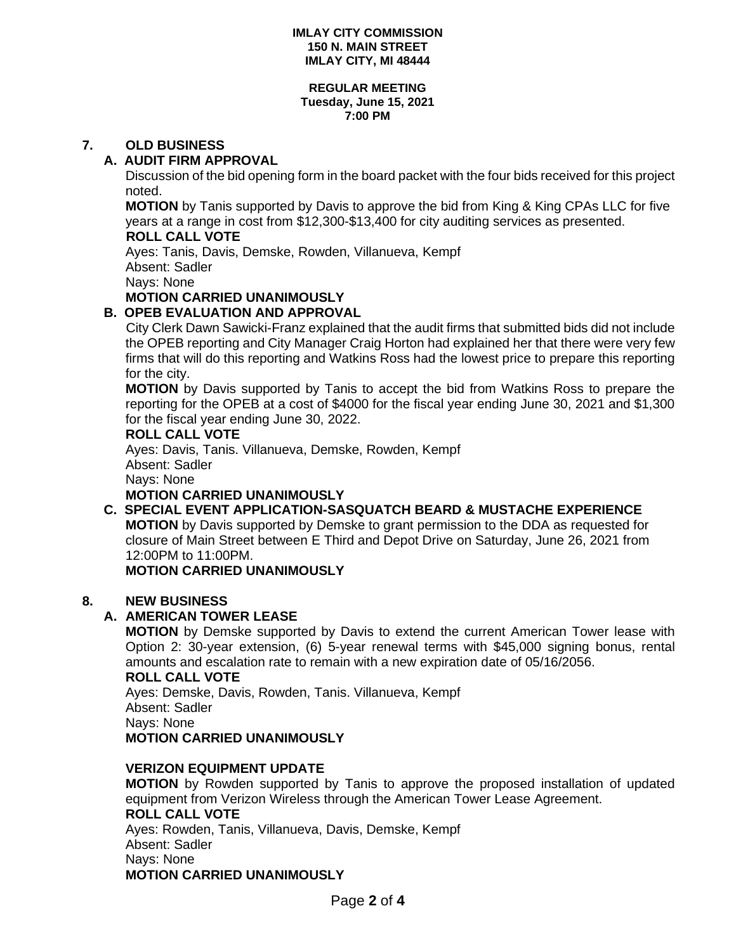#### **IMLAY CITY COMMISSION 150 N. MAIN STREET IMLAY CITY, MI 48444**

#### **REGULAR MEETING Tuesday, June 15, 2021 7:00 PM**

# **7. OLD BUSINESS**

## **A. AUDIT FIRM APPROVAL**

Discussion of the bid opening form in the board packet with the four bids received for this project noted.

**MOTION** by Tanis supported by Davis to approve the bid from King & King CPAs LLC for five years at a range in cost from \$12,300-\$13,400 for city auditing services as presented.  **ROLL CALL VOTE**

Ayes: Tanis, Davis, Demske, Rowden, Villanueva, Kempf Absent: Sadler

Nays: None

# **MOTION CARRIED UNANIMOUSLY**

# **B. OPEB EVALUATION AND APPROVAL**

City Clerk Dawn Sawicki-Franz explained that the audit firms that submitted bids did not include the OPEB reporting and City Manager Craig Horton had explained her that there were very few firms that will do this reporting and Watkins Ross had the lowest price to prepare this reporting for the city.

**MOTION** by Davis supported by Tanis to accept the bid from Watkins Ross to prepare the reporting for the OPEB at a cost of \$4000 for the fiscal year ending June 30, 2021 and \$1,300 for the fiscal year ending June 30, 2022.

#### **ROLL CALL VOTE**

Ayes: Davis, Tanis. Villanueva, Demske, Rowden, Kempf Absent: Sadler

Nays: None

**MOTION CARRIED UNANIMOUSLY**

# **C. SPECIAL EVENT APPLICATION-SASQUATCH BEARD & MUSTACHE EXPERIENCE**

**MOTION** by Davis supported by Demske to grant permission to the DDA as requested for closure of Main Street between E Third and Depot Drive on Saturday, June 26, 2021 from 12:00PM to 11:00PM.

## **MOTION CARRIED UNANIMOUSLY**

## **8. NEW BUSINESS**

# **A. AMERICAN TOWER LEASE**

**MOTION** by Demske supported by Davis to extend the current American Tower lease with Option 2: 30-year extension, (6) 5-year renewal terms with \$45,000 signing bonus, rental amounts and escalation rate to remain with a new expiration date of 05/16/2056.

#### **ROLL CALL VOTE**

Ayes: Demske, Davis, Rowden, Tanis. Villanueva, Kempf Absent: Sadler Nays: None **MOTION CARRIED UNANIMOUSLY**

#### **VERIZON EQUIPMENT UPDATE**

**MOTION** by Rowden supported by Tanis to approve the proposed installation of updated equipment from Verizon Wireless through the American Tower Lease Agreement. **ROLL CALL VOTE** Ayes: Rowden, Tanis, Villanueva, Davis, Demske, Kempf Absent: Sadler

Nays: None

## **MOTION CARRIED UNANIMOUSLY**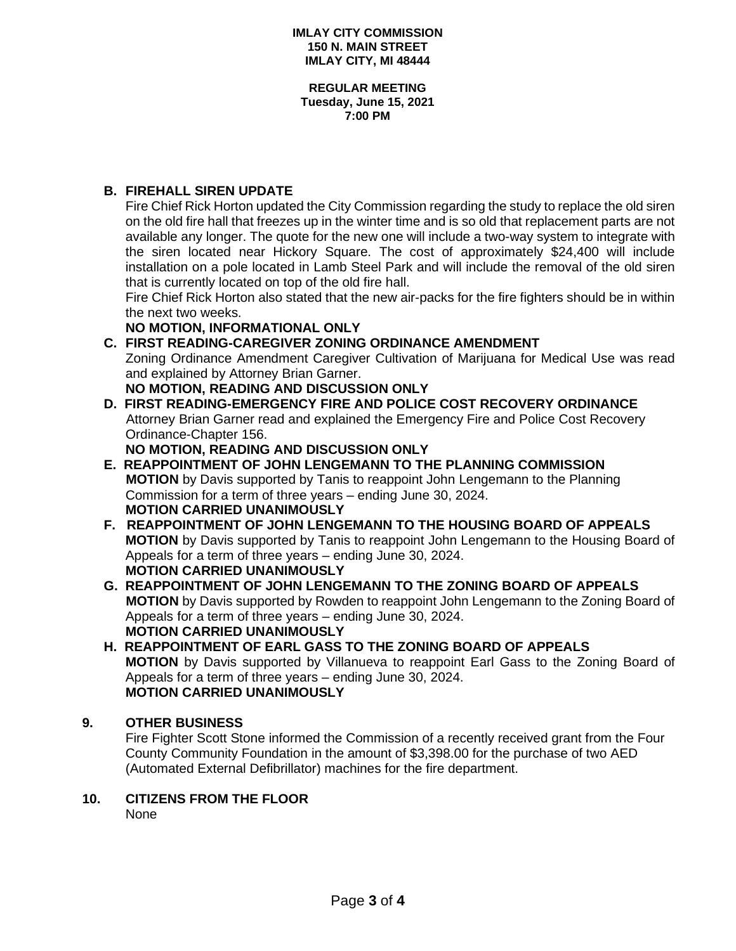**REGULAR MEETING Tuesday, June 15, 2021 7:00 PM**

# **B. FIREHALL SIREN UPDATE**

Fire Chief Rick Horton updated the City Commission regarding the study to replace the old siren on the old fire hall that freezes up in the winter time and is so old that replacement parts are not available any longer. The quote for the new one will include a two-way system to integrate with the siren located near Hickory Square. The cost of approximately \$24,400 will include installation on a pole located in Lamb Steel Park and will include the removal of the old siren that is currently located on top of the old fire hall.

Fire Chief Rick Horton also stated that the new air-packs for the fire fighters should be in within the next two weeks.

#### **NO MOTION, INFORMATIONAL ONLY**

**C. FIRST READING-CAREGIVER ZONING ORDINANCE AMENDMENT** Zoning Ordinance Amendment Caregiver Cultivation of Marijuana for Medical Use was read and explained by Attorney Brian Garner.

# **NO MOTION, READING AND DISCUSSION ONLY**

**D. FIRST READING-EMERGENCY FIRE AND POLICE COST RECOVERY ORDINANCE** Attorney Brian Garner read and explained the Emergency Fire and Police Cost Recovery Ordinance-Chapter 156.

**NO MOTION, READING AND DISCUSSION ONLY**

- **E. REAPPOINTMENT OF JOHN LENGEMANN TO THE PLANNING COMMISSION MOTION** by Davis supported by Tanis to reappoint John Lengemann to the Planning Commission for a term of three years – ending June 30, 2024. **MOTION CARRIED UNANIMOUSLY**
- **F. REAPPOINTMENT OF JOHN LENGEMANN TO THE HOUSING BOARD OF APPEALS MOTION** by Davis supported by Tanis to reappoint John Lengemann to the Housing Board of Appeals for a term of three years – ending June 30, 2024. **MOTION CARRIED UNANIMOUSLY**
- **G. REAPPOINTMENT OF JOHN LENGEMANN TO THE ZONING BOARD OF APPEALS MOTION** by Davis supported by Rowden to reappoint John Lengemann to the Zoning Board of Appeals for a term of three years – ending June 30, 2024. **MOTION CARRIED UNANIMOUSLY**

## **H. REAPPOINTMENT OF EARL GASS TO THE ZONING BOARD OF APPEALS MOTION** by Davis supported by Villanueva to reappoint Earl Gass to the Zoning Board of Appeals for a term of three years – ending June 30, 2024. **MOTION CARRIED UNANIMOUSLY**

## **9. OTHER BUSINESS**

Fire Fighter Scott Stone informed the Commission of a recently received grant from the Four County Community Foundation in the amount of \$3,398.00 for the purchase of two AED (Automated External Defibrillator) machines for the fire department.

**10. CITIZENS FROM THE FLOOR** None